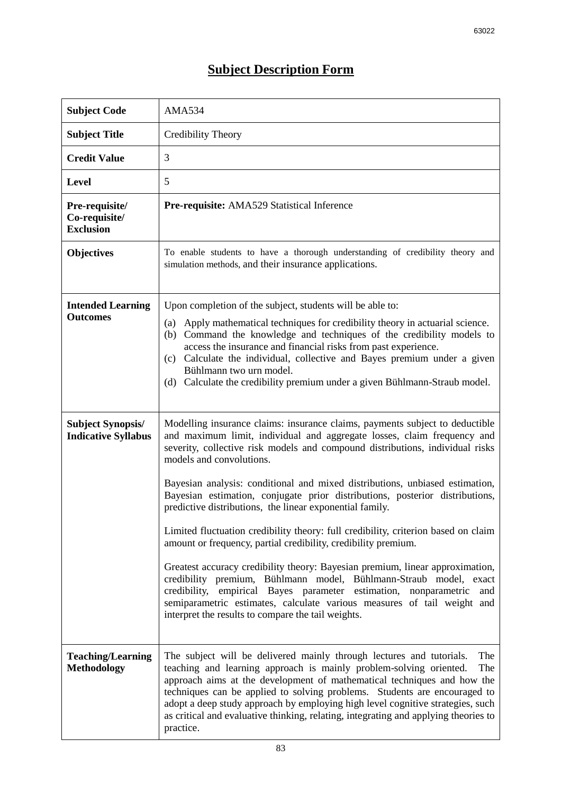## **Subject Description Form**

| <b>Subject Code</b>                                    | <b>AMA534</b>                                                                                                                                                                                                                                                                                                                                                                                                                                                                                                                                                                                                                                                                                                                                                                                                                                                                                                                                                                                                              |
|--------------------------------------------------------|----------------------------------------------------------------------------------------------------------------------------------------------------------------------------------------------------------------------------------------------------------------------------------------------------------------------------------------------------------------------------------------------------------------------------------------------------------------------------------------------------------------------------------------------------------------------------------------------------------------------------------------------------------------------------------------------------------------------------------------------------------------------------------------------------------------------------------------------------------------------------------------------------------------------------------------------------------------------------------------------------------------------------|
| <b>Subject Title</b>                                   | Credibility Theory                                                                                                                                                                                                                                                                                                                                                                                                                                                                                                                                                                                                                                                                                                                                                                                                                                                                                                                                                                                                         |
| <b>Credit Value</b>                                    | 3                                                                                                                                                                                                                                                                                                                                                                                                                                                                                                                                                                                                                                                                                                                                                                                                                                                                                                                                                                                                                          |
| <b>Level</b>                                           | 5                                                                                                                                                                                                                                                                                                                                                                                                                                                                                                                                                                                                                                                                                                                                                                                                                                                                                                                                                                                                                          |
| Pre-requisite/<br>Co-requisite/<br><b>Exclusion</b>    | Pre-requisite: AMA529 Statistical Inference                                                                                                                                                                                                                                                                                                                                                                                                                                                                                                                                                                                                                                                                                                                                                                                                                                                                                                                                                                                |
| <b>Objectives</b>                                      | To enable students to have a thorough understanding of credibility theory and<br>simulation methods, and their insurance applications.                                                                                                                                                                                                                                                                                                                                                                                                                                                                                                                                                                                                                                                                                                                                                                                                                                                                                     |
| <b>Intended Learning</b><br><b>Outcomes</b>            | Upon completion of the subject, students will be able to:<br>Apply mathematical techniques for credibility theory in actuarial science.<br>(a)<br>(b) Command the knowledge and techniques of the credibility models to<br>access the insurance and financial risks from past experience.<br>(c) Calculate the individual, collective and Bayes premium under a given<br>Bühlmann two urn model.<br>(d) Calculate the credibility premium under a given Bühlmann-Straub model.                                                                                                                                                                                                                                                                                                                                                                                                                                                                                                                                             |
| <b>Subject Synopsis/</b><br><b>Indicative Syllabus</b> | Modelling insurance claims: insurance claims, payments subject to deductible<br>and maximum limit, individual and aggregate losses, claim frequency and<br>severity, collective risk models and compound distributions, individual risks<br>models and convolutions.<br>Bayesian analysis: conditional and mixed distributions, unbiased estimation,<br>Bayesian estimation, conjugate prior distributions, posterior distributions,<br>predictive distributions, the linear exponential family.<br>Limited fluctuation credibility theory: full credibility, criterion based on claim<br>amount or frequency, partial credibility, credibility premium.<br>Greatest accuracy credibility theory: Bayesian premium, linear approximation,<br>credibility premium, Bühlmann model, Bühlmann-Straub model, exact<br>credibility, empirical Bayes parameter estimation, nonparametric<br>and<br>semiparametric estimates, calculate various measures of tail weight and<br>interpret the results to compare the tail weights. |
| <b>Teaching/Learning</b><br><b>Methodology</b>         | The subject will be delivered mainly through lectures and tutorials.<br>The<br>teaching and learning approach is mainly problem-solving oriented.<br>The<br>approach aims at the development of mathematical techniques and how the<br>techniques can be applied to solving problems. Students are encouraged to<br>adopt a deep study approach by employing high level cognitive strategies, such<br>as critical and evaluative thinking, relating, integrating and applying theories to<br>practice.                                                                                                                                                                                                                                                                                                                                                                                                                                                                                                                     |